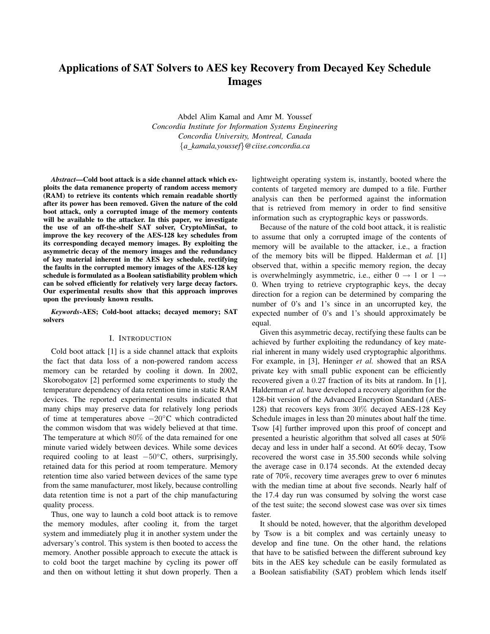# Applications of SAT Solvers to AES key Recovery from Decayed Key Schedule Images

Abdel Alim Kamal and Amr M. Youssef *Concordia Institute for Information Systems Engineering Concordia University, Montreal, Canada* {*a kamala,youssef*}*@ciise.concordia.ca*

*Abstract*—Cold boot attack is a side channel attack which exploits the data remanence property of random access memory (RAM) to retrieve its contents which remain readable shortly after its power has been removed. Given the nature of the cold boot attack, only a corrupted image of the memory contents will be available to the attacker. In this paper, we investigate the use of an off-the-shelf SAT solver, CryptoMinSat, to improve the key recovery of the AES-128 key schedules from its corresponding decayed memory images. By exploiting the asymmetric decay of the memory images and the redundancy of key material inherent in the AES key schedule, rectifying the faults in the corrupted memory images of the AES-128 key schedule is formulated as a Boolean satisfiability problem which can be solved efficiently for relatively very large decay factors. Our experimental results show that this approach improves upon the previously known results.

*Keywords*-AES; Cold-boot attacks; decayed memory; SAT solvers

## I. INTRODUCTION

Cold boot attack [1] is a side channel attack that exploits the fact that data loss of a non-powered random access memory can be retarded by cooling it down. In 2002, Skorobogatov [2] performed some experiments to study the temperature dependency of data retention time in static RAM devices. The reported experimental results indicated that many chips may preserve data for relatively long periods of time at temperatures above −20◦C which contradicted the common wisdom that was widely believed at that time. The temperature at which 80% of the data remained for one minute varied widely between devices. While some devices required cooling to at least −50◦C, others, surprisingly, retained data for this period at room temperature. Memory retention time also varied between devices of the same type from the same manufacturer, most likely, because controlling data retention time is not a part of the chip manufacturing quality process.

Thus, one way to launch a cold boot attack is to remove the memory modules, after cooling it, from the target system and immediately plug it in another system under the adversary's control. This system is then booted to access the memory. Another possible approach to execute the attack is to cold boot the target machine by cycling its power off and then on without letting it shut down properly. Then a lightweight operating system is, instantly, booted where the contents of targeted memory are dumped to a file. Further analysis can then be performed against the information that is retrieved from memory in order to find sensitive information such as cryptographic keys or passwords.

Because of the nature of the cold boot attack, it is realistic to assume that only a corrupted image of the contents of memory will be available to the attacker, i.e., a fraction of the memory bits will be flipped. Halderman et *al.* [1] observed that, within a specific memory region, the decay is overwhelmingly asymmetric, i.e., either  $0 \rightarrow 1$  or  $1 \rightarrow$ 0. When trying to retrieve cryptographic keys, the decay direction for a region can be determined by comparing the number of 0's and 1's since in an uncorrupted key, the expected number of 0's and 1's should approximately be equal.

Given this asymmetric decay, rectifying these faults can be achieved by further exploiting the redundancy of key material inherent in many widely used cryptographic algorithms. For example, in [3], Heninger *et al.* showed that an RSA private key with small public exponent can be efficiently recovered given a 0.27 fraction of its bits at random. In [1], Halderman *et al.* have developed a recovery algorithm for the 128-bit version of the Advanced Encryption Standard (AES-128) that recovers keys from 30% decayed AES-128 Key Schedule images in less than 20 minutes about half the time. Tsow [4] further improved upon this proof of concept and presented a heuristic algorithm that solved all cases at 50% decay and less in under half a second. At 60% decay, Tsow recovered the worst case in 35.500 seconds while solving the average case in 0.174 seconds. At the extended decay rate of 70%, recovery time averages grew to over 6 minutes with the median time at about five seconds. Nearly half of the 17.4 day run was consumed by solving the worst case of the test suite; the second slowest case was over six times faster.

It should be noted, however, that the algorithm developed by Tsow is a bit complex and was certainly uneasy to develop and fine tune. On the other hand, the relations that have to be satisfied between the different subround key bits in the AES key schedule can be easily formulated as a Boolean satisfiability (SAT) problem which lends itself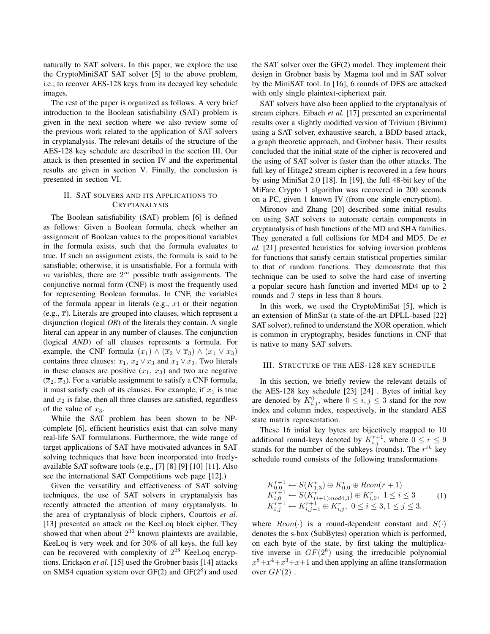naturally to SAT solvers. In this paper, we explore the use the CryptoMiniSAT SAT solver [5] to the above problem, i.e., to recover AES-128 keys from its decayed key schedule images.

The rest of the paper is organized as follows. A very brief introduction to the Boolean satisfiability (SAT) problem is given in the next section where we also review some of the previous work related to the application of SAT solvers in cryptanalysis. The relevant details of the structure of the AES-128 key schedule are described in the section III. Our attack is then presented in section IV and the experimental results are given in section V. Finally, the conclusion is presented in section VI.

# II. SAT SOLVERS AND ITS APPLICATIONS TO **CRYPTANALYSIS**

The Boolean satisfiability (SAT) problem [6] is defined as follows: Given a Boolean formula, check whether an assignment of Boolean values to the propositional variables in the formula exists, such that the formula evaluates to true. If such an assignment exists, the formula is said to be satisfiable; otherwise, it is unsatisfiable. For a formula with m variables, there are  $2^m$  possible truth assignments. The conjunctive normal form (CNF) is most the frequently used for representing Boolean formulas. In CNF, the variables of the formula appear in literals (e.g.,  $x$ ) or their negation (e.g.,  $\overline{x}$ ). Literals are grouped into clauses, which represent a disjunction (logical *OR*) of the literals they contain. A single literal can appear in any number of clauses. The conjunction (logical *AND*) of all clauses represents a formula. For example, the CNF formula  $(x_1) \wedge (\overline{x}_2 \vee \overline{x}_3) \wedge (x_1 \vee x_3)$ contains three clauses:  $x_1, \overline{x}_2 \vee \overline{x}_3$  and  $x_1 \vee x_3$ . Two literals in these clauses are positive  $(x_1, x_3)$  and two are negative  $(\overline{x}_2, \overline{x}_3)$ . For a variable assignment to satisfy a CNF formula, it must satisfy each of its clauses. For example, if  $x_1$  is true and  $x_2$  is false, then all three clauses are satisfied, regardless of the value of  $x_3$ .

While the SAT problem has been shown to be NPcomplete [6], efficient heuristics exist that can solve many real-life SAT formulations. Furthermore, the wide range of target applications of SAT have motivated advances in SAT solving techniques that have been incorporated into freelyavailable SAT software tools (e.g., [7] [8] [9] [10] [11]. Also see the international SAT Competitions web page [12].)

Given the versatility and effectiveness of SAT solving techniques, the use of SAT solvers in cryptanalysis has recently attracted the attention of many cryptanalysts. In the area of cryptanalysis of block ciphers, Courtois *et al.* [13] presented an attack on the KeeLoq block cipher. They showed that when about  $2^{32}$  known plaintexts are available, KeeLoq is very week and for 30% of all keys, the full key can be recovered with complexity of  $2^{28}$  KeeLoq encryptions. Erickson *et al.* [15] used the Grobner basis [14] attacks on SMS4 equation system over  $GF(2)$  and  $GF(2^8)$  and used

the SAT solver over the GF(2) model. They implement their design in Grobner basis by Magma tool and in SAT solver by the MiniSAT tool. In [16], 6 rounds of DES are attacked with only single plaintext-ciphertext pair.

SAT solvers have also been applied to the cryptanalysis of stream ciphers. Eibach *et al.* [17] presented an experimental results over a slightly modified version of Trivium (Bivium) using a SAT solver, exhaustive search, a BDD based attack, a graph theoretic approach, and Grobner basis. Their results concluded that the initial state of the cipher is recovered and the using of SAT solver is faster than the other attacks. The full key of Hitage2 stream cipher is recovered in a few hours by using MiniSat 2.0 [18]. In [19], the full 48-bit key of the MiFare Crypto 1 algorithm was recovered in 200 seconds on a PC, given 1 known IV (from one single encryption).

Mironov and Zhang [20] described some initial results on using SAT solvers to automate certain components in cryptanalysis of hash functions of the MD and SHA families. They generated a full collisions for MD4 and MD5. De *et al.* [21] presented heuristics for solving inversion problems for functions that satisfy certain statistical properties similar to that of random functions. They demonstrate that this technique can be used to solve the hard case of inverting a popular secure hash function and inverted MD4 up to 2 rounds and 7 steps in less than 8 hours.

In this work, we used the CryptoMiniSat [5], which is an extension of MinSat (a state-of-the-art DPLL-based [22] SAT solver), refined to understand the XOR operation, which is common in cryptography, besides functions in CNF that is native to many SAT solvers.

## III. STRUCTURE OF THE AES-128 KEY SCHEDULE

In this section, we briefly review the relevant details of the AES-128 key schedule [23] [24] . Bytes of initial key are denoted by  $K^0_{i,j}$ , where  $0 \leq i,j \leq 3$  stand for the row index and column index, respectively, in the standard AES state matrix representation.

These 16 intial key bytes are bijectively mapped to 10 additional round-keys denoted by  $K_{i,j}^{r+1}$ , where  $0 \le r \le 9$ stands for the number of the subkeys (rounds). The  $r^{th}$  key schedule round consists of the following transformations

$$
K_{0,0}^{r+1} \leftarrow S(K_{1,3}^r) \oplus K_{0,0}^r \oplus Rcon(r+1)
$$
  
\n
$$
K_{i,0}^{r+1} \leftarrow S(K_{(i+1)mod4,3}^r) \oplus K_{i,0}^r, 1 \le i \le 3
$$
  
\n
$$
K_{i,j}^{r+1} \leftarrow K_{i,j-1}^{r+1} \oplus K_{i,j}^r, 0 \le i \le 3, 1 \le j \le 3,
$$
\n(1)

where  $Rcon(\cdot)$  is a round-dependent constant and  $S(\cdot)$ denotes the s-box (SubBytes) operation which is performed, on each byte of the state, by first taking the multiplicative inverse in  $GF(2^8)$  using the irreducible polynomial  $x^8 + x^4 + x^3 + x + 1$  and then applying an affine transformation over  $GF(2)$ .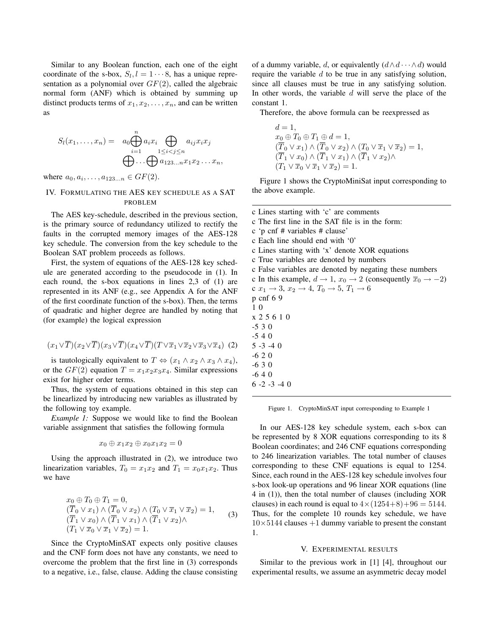Similar to any Boolean function, each one of the eight coordinate of the s-box,  $S_l$ ,  $l = 1 \cdots 8$ , has a unique representation as a polynomial over  $GF(2)$ , called the algebraic normal form (ANF) which is obtained by summing up distinct products terms of  $x_1, x_2, \ldots, x_n$ , and can be written as

$$
S_l(x_1,\ldots,x_n) = a_0 \bigoplus_{i=1}^n a_i x_i \bigoplus_{1 \leq i < j \leq n} a_{ij} x_i x_j
$$

$$
\bigoplus \ldots \bigoplus_{1 \leq i < j \leq n} a_{123\ldots n} x_1 x_2 \ldots x_n,
$$

where  $a_0, a_i, \ldots, a_{123...n} \in GF(2)$ .

# IV. FORMULATING THE AES KEY SCHEDULE AS A SAT PROBLEM

The AES key-schedule, described in the previous section, is the primary source of redundancy utilized to rectify the faults in the corrupted memory images of the AES-128 key schedule. The conversion from the key schedule to the Boolean SAT problem proceeds as follows.

First, the system of equations of the AES-128 key schedule are generated according to the pseudocode in (1). In each round, the s-box equations in lines 2,3 of (1) are represented in its ANF (e.g., see Appendix A for the ANF of the first coordinate function of the s-box). Then, the terms of quadratic and higher degree are handled by noting that (for example) the logical expression

$$
(x_1 \vee \overline{T})(x_2 \vee \overline{T})(x_3 \vee \overline{T})(x_4 \vee \overline{T})(T \vee \overline{x}_1 \vee \overline{x}_2 \vee \overline{x}_3 \vee \overline{x}_4) (2)
$$

is tautologically equivalent to  $T \Leftrightarrow (x_1 \wedge x_2 \wedge x_3 \wedge x_4)$ , or the  $GF(2)$  equation  $T = x_1x_2x_3x_4$ . Similar expressions exist for higher order terms.

Thus, the system of equations obtained in this step can be linearlized by introducing new variables as illustrated by the following toy example.

*Example 1:* Suppose we would like to find the Boolean variable assignment that satisfies the following formula

$$
x_0 \oplus x_1x_2 \oplus x_0x_1x_2 = 0
$$

Using the approach illustrated in (2), we introduce two linearization variables,  $T_0 = x_1x_2$  and  $T_1 = x_0x_1x_2$ . Thus we have

$$
x_0 \oplus T_0 \oplus T_1 = 0,
$$
  
\n
$$
(\overline{T}_0 \vee x_1) \wedge (\overline{T}_0 \vee x_2) \wedge (T_0 \vee \overline{x}_1 \vee \overline{x}_2) = 1,
$$
  
\n
$$
(\overline{T}_1 \vee x_0) \wedge (\overline{T}_1 \vee x_1) \wedge (\overline{T}_1 \vee x_2) \wedge
$$
  
\n
$$
(T_1 \vee \overline{x}_0 \vee \overline{x}_1 \vee \overline{x}_2) = 1.
$$
\n(3)

Since the CryptoMinSAT expects only positive clauses and the CNF form does not have any constants, we need to overcome the problem that the first line in (3) corresponds to a negative, i.e., false, clause. Adding the clause consisting of a dummy variable, d, or equivalently  $(d \wedge d \cdots \wedge d)$  would require the variable  $d$  to be true in any satisfying solution, since all clauses must be true in any satisfying solution. In other words, the variable  $d$  will serve the place of the constant 1.

Therefore, the above formula can be reexpressed as

$$
d = 1,
$$
  
\n
$$
x_0 \oplus T_0 \oplus T_1 \oplus d = 1,
$$
  
\n
$$
(\overline{T}_0 \vee x_1) \wedge (\overline{T}_0 \vee x_2) \wedge (T_0 \vee \overline{x}_1 \vee \overline{x}_2) = 1,
$$
  
\n
$$
(\overline{T}_1 \vee x_0) \wedge (\overline{T}_1 \vee x_1) \wedge (\overline{T}_1 \vee x_2) \wedge
$$
  
\n
$$
(T_1 \vee \overline{x}_0 \vee \overline{x}_1 \vee \overline{x}_2) = 1.
$$

Figure 1 shows the CryptoMiniSat input corresponding to the above example.

c Lines starting with 'c' are comments c The first line in the SAT file is in the form: c 'p cnf # variables # clause' c Each line should end with '0' c Lines starting with 'x' denote XOR equations c True variables are denoted by numbers c False variables are denoted by negating these numbers c In this example,  $d \rightarrow 1$ ,  $x_0 \rightarrow 2$  (consequently  $\overline{x}_0 \rightarrow -2$ ) c  $x_1 \to 3$ ,  $x_2 \to 4$ ,  $T_0 \to 5$ ,  $T_1 \to 6$ p cnf 6 9 1 0 x 2 5 6 1 0 -5 3 0 -5 4 0 5 -3 -4 0  $-620$ -6 3 0 -6 4 0 6 -2 -3 -4 0

Figure 1. CryptoMinSAT input corresponding to Example 1

In our AES-128 key schedule system, each s-box can be represented by 8 XOR equations corresponding to its 8 Boolean coordinates; and 246 CNF equations corresponding to 246 linearization variables. The total number of clauses corresponding to these CNF equations is equal to 1254. Since, each round in the AES-128 key schedule involves four s-box look-up operations and 96 linear XOR equations (line 4 in (1)), then the total number of clauses (including XOR clauses) in each round is equal to  $4 \times (1254+8)+96 = 5144$ . Thus, for the complete 10 rounds key schedule, we have  $10\times5144$  clauses  $+1$  dummy variable to present the constant 1.

## V. EXPERIMENTAL RESULTS

Similar to the previous work in [1] [4], throughout our experimental results, we assume an asymmetric decay model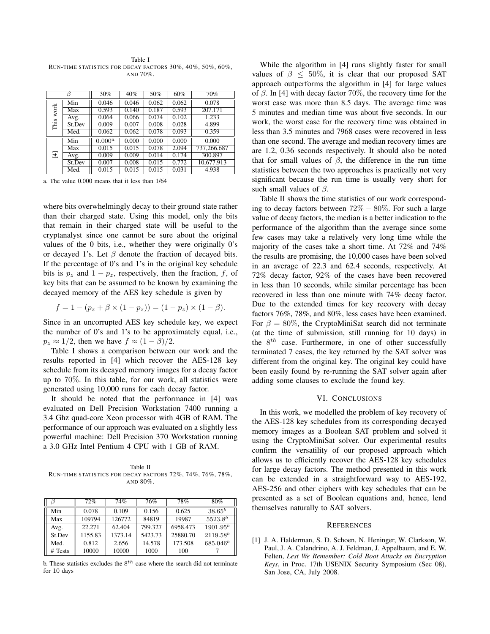Table I RUN-TIME STATISTICS FOR DECAY FACTORS 30%, 40%, 50%, 60%, AND 70%.

| R            |                  | 30%       | 40%   | 50%   | 60%   | 70%         |
|--------------|------------------|-----------|-------|-------|-------|-------------|
| work<br>This | Min              | 0.046     | 0.046 | 0.062 | 0.062 | 0.078       |
|              | $\overline{Max}$ | 0.593     | 0.140 | 0.187 | 0.593 | 207.171     |
|              | Avg.             | 0.064     | 0.066 | 0.074 | 0.102 | 1.233       |
|              | St.Dev           | 0.009     | 0.007 | 0.008 | 0.028 | 4.899       |
|              | Med.             | 0.062     | 0.062 | 0.078 | 0.093 | 0.359       |
| 군            | Min              | $0.000^a$ | 0.000 | 0.000 | 0.000 | 0.000       |
|              | $\overline{Max}$ | 0.015     | 0.015 | 0.078 | 2.094 | 737,266.687 |
|              | Avg.             | 0.009     | 0.009 | 0.014 | 0.174 | 300.897     |
|              | St.Dev           | 0.007     | 0.008 | 0.015 | 0.772 | 10,677.913  |
|              | Med.             | 0.015     | 0.015 | 0.015 | 0.031 | 4.938       |

a. The value 0.000 means that it less than 1/64

where bits overwhelmingly decay to their ground state rather than their charged state. Using this model, only the bits that remain in their charged state will be useful to the cryptanalyst since one cannot be sure about the original values of the 0 bits, i.e., whether they were originally 0's or decayed 1's. Let  $\beta$  denote the fraction of decayed bits. If the percentage of 0's and 1's in the original key schedule bits is  $p_z$  and  $1 - p_z$ , respectively, then the fraction, f, of key bits that can be assumed to be known by examining the decayed memory of the AES key schedule is given by

$$
f = 1 - (p_z + \beta \times (1 - p_z)) = (1 - p_z) \times (1 - \beta).
$$

Since in an uncorrupted AES key schedule key, we expect the number of 0's and 1's to be approximately equal, i.e.,  $p_z \approx 1/2$ , then we have  $f \approx (1 - \beta)/2$ .

Table I shows a comparison between our work and the results reported in [4] which recover the AES-128 key schedule from its decayed memory images for a decay factor up to 70%. In this table, for our work, all statistics were generated using 10,000 runs for each decay factor.

It should be noted that the performance in [4] was evaluated on Dell Precision Workstation 7400 running a 3.4 Ghz quad-core Xeon processor with 4GB of RAM. The performance of our approach was evaluated on a slightly less powerful machine: Dell Precision 370 Workstation running a 3.0 GHz Intel Pentium 4 CPU with 1 GB of RAM.

Table II RUN-TIME STATISTICS FOR DECAY FACTORS 72%, 74%, 76%, 78%, AND 80%.

|         | 72%     | 74%     | 76%     | 78%      | 80%                    |
|---------|---------|---------|---------|----------|------------------------|
| Min     | 0.078   | 0.109   | 0.156   | 0.625    | $38.65^{\overline{b}}$ |
| Max     | 109794  | 126772  | 84819   | 19987    | $5523.8^{b}$           |
| Avg.    | 22.271  | 62.404  | 799.327 | 6958.473 | $1901.95^{b}$          |
| St.Dev  | 1155.83 | 1373.14 | 5423.73 | 25880.70 | $2119.58^{b}$          |
| Med.    | 0.812   | 2.656   | 14.578  | 173.508  | $685.046^{b}$          |
| # Tests | 10000   | 10000   | 1000    | 100      |                        |

b. These statistics excludes the  $8^{th}$  case where the search did not terminate for 10 days

While the algorithm in [4] runs slightly faster for small values of  $\beta \leq 50\%$ , it is clear that our proposed SAT approach outperforms the algorithm in [4] for large values of  $\beta$ . In [4] with decay factor 70%, the recovery time for the worst case was more than 8.5 days. The average time was 5 minutes and median time was about five seconds. In our work, the worst case for the recovery time was obtained in less than 3.5 minutes and 7968 cases were recovered in less than one second. The average and median recovery times are are 1.2, 0.36 seconds respectively. It should also be noted that for small values of  $\beta$ , the difference in the run time statistics between the two approaches is practically not very significant because the run time is usually very short for such small values of  $\beta$ .

Table II shows the time statistics of our work corresponding to decay factors between  $72\% - 80\%$ . For such a large value of decay factors, the median is a better indication to the performance of the algorithm than the average since some few cases may take a relatively very long time while the majority of the cases take a short time. At 72% and 74% the results are promising, the 10,000 cases have been solved in an average of 22.3 and 62.4 seconds, respectively. At 72% decay factor, 92% of the cases have been recovered in less than 10 seconds, while similar percentage has been recovered in less than one minute with 74% decay factor. Due to the extended times for key recovery with decay factors 76%, 78%, and 80%, less cases have been examined. For  $\beta = 80\%$ , the CryptoMiniSat search did not terminate (at the time of submission, still running for 10 days) in the  $8^{th}$  case. Furthermore, in one of other successfully terminated 7 cases, the key returned by the SAT solver was different from the original key. The original key could have been easily found by re-running the SAT solver again after adding some clauses to exclude the found key.

### VI. CONCLUSIONS

In this work, we modelled the problem of key recovery of the AES-128 key schedules from its corresponding decayed memory images as a Boolean SAT problem and solved it using the CryptoMiniSat solver. Our experimental results confirm the versatility of our proposed approach which allows us to efficiently recover the AES-128 key schedules for large decay factors. The method presented in this work can be extended in a straightforward way to AES-192, AES-256 and other ciphers with key schedules that can be presented as a set of Boolean equations and, hence, lend themselves naturally to SAT solvers.

#### **REFERENCES**

[1] J. A. Halderman, S. D. Schoen, N. Heninger, W. Clarkson, W. Paul, J. A. Calandrino, A. J. Feldman, J. Appelbaum, and E. W. Felten, *Lest We Remember: Cold Boot Attacks on Encryption Keys*, in Proc. 17th USENIX Security Symposium (Sec 08), San Jose, CA, July 2008.